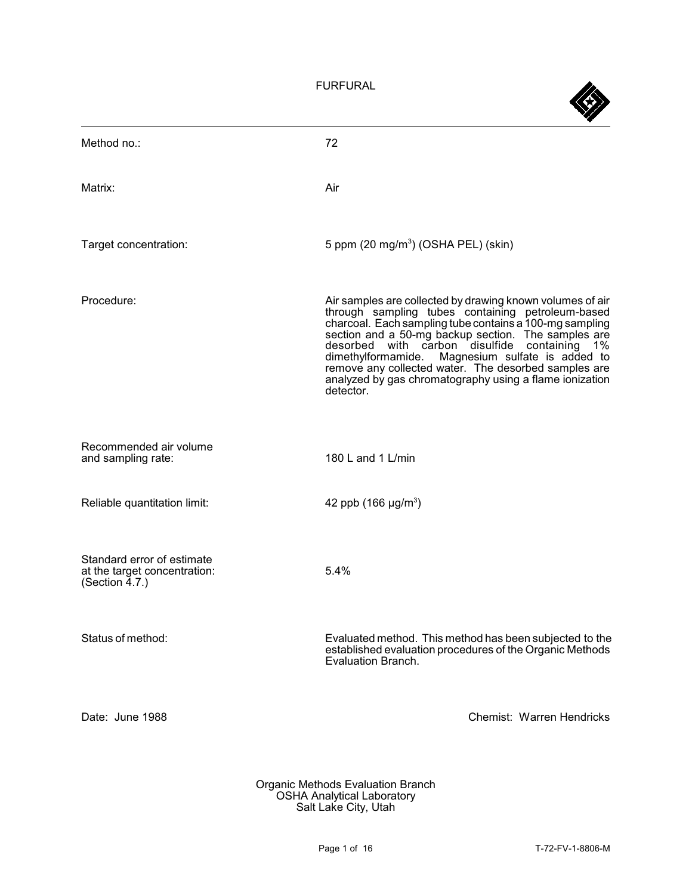FURFURAL

| Method no.:                                                                     | 72                                                                                                                                                                                                                                                                                                                                                                                                                                                                         |
|---------------------------------------------------------------------------------|----------------------------------------------------------------------------------------------------------------------------------------------------------------------------------------------------------------------------------------------------------------------------------------------------------------------------------------------------------------------------------------------------------------------------------------------------------------------------|
| Matrix:                                                                         | Air                                                                                                                                                                                                                                                                                                                                                                                                                                                                        |
| Target concentration:                                                           | 5 ppm $(20 \text{ mg/m}^3)$ (OSHA PEL) (skin)                                                                                                                                                                                                                                                                                                                                                                                                                              |
| Procedure:                                                                      | Air samples are collected by drawing known volumes of air<br>through sampling tubes containing petroleum-based<br>charcoal. Each sampling tube contains a 100-mg sampling<br>section and a 50-mg backup section. The samples are<br>desorbed with carbon disulfide containing<br>$1\%$<br>dimethylformamide. Magnesium sulfate is added to<br>remove any collected water. The desorbed samples are<br>analyzed by gas chromatography using a flame ionization<br>detector. |
| Recommended air volume<br>and sampling rate:                                    | 180 L and 1 L/min                                                                                                                                                                                                                                                                                                                                                                                                                                                          |
| Reliable quantitation limit:                                                    | 42 ppb $(166 \mu g/m^3)$                                                                                                                                                                                                                                                                                                                                                                                                                                                   |
| Standard error of estimate<br>at the target concentration:<br>(Section $4.7$ .) | 5.4%                                                                                                                                                                                                                                                                                                                                                                                                                                                                       |
| Status of method:                                                               | Evaluated method. This method has been subjected to the<br>established evaluation procedures of the Organic Methods<br>Evaluation Branch.                                                                                                                                                                                                                                                                                                                                  |
| Date: June 1988                                                                 | Chemist: Warren Hendricks                                                                                                                                                                                                                                                                                                                                                                                                                                                  |
|                                                                                 |                                                                                                                                                                                                                                                                                                                                                                                                                                                                            |

Organic Methods Evaluation Branch OSHA Analytical Laboratory Salt Lake City, Utah

ZK.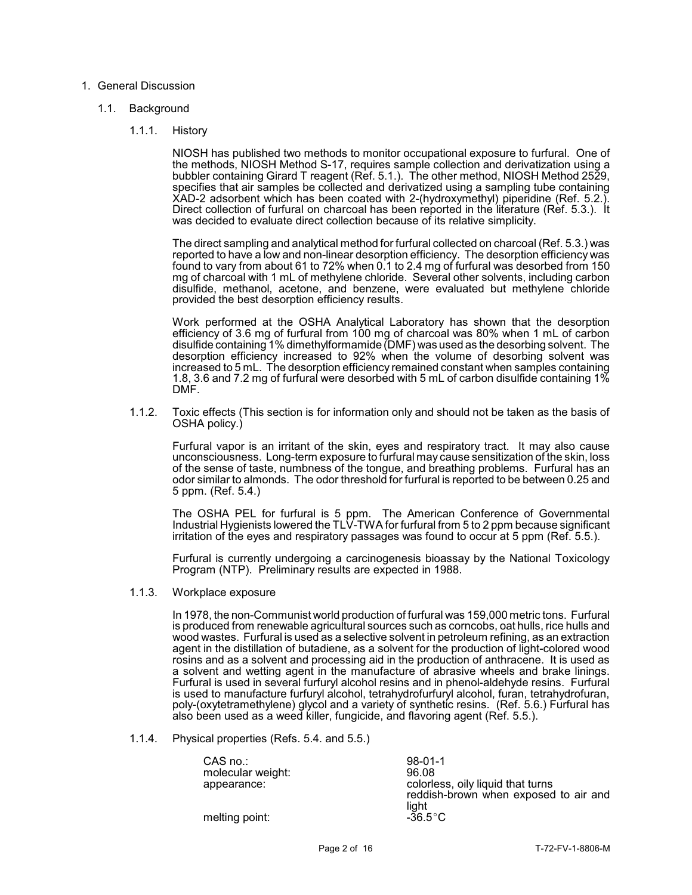## 1. General Discussion

## 1.1. Background

1.1.1. History

 Direct collection of furfural on charcoal has been reported in the literature (Ref. 5.3.). It NIOSH has published two methods to monitor occupational exposure to furfural. One of the methods, NIOSH Method S-17, requires sample collection and derivatization using a bubbler containing Girard T reagent (Ref. 5.1.). The other method, NIOSH Method 2529, specifies that air samples be collected and derivatized using a sampling tube containing XAD-2 adsorbent which has been coated with 2-(hydroxymethyl) piperidine (Ref. 5.2.). was decided to evaluate direct collection because of its relative simplicity.

 found to vary from about 61 to 72% when 0.1 to 2.4 mg of furfural was desorbed from 150 mg of charcoal with 1 mL of methylene chloride. Several other solvents, including carbon The direct sampling and analytical method for furfural collected on charcoal (Ref. 5.3.) was reported to have a low and non-linear desorption efficiency. The desorption efficiency was disulfide, methanol, acetone, and benzene, were evaluated but methylene chloride provided the best desorption efficiency results.

 Work performed at the OSHA Analytical Laboratory has shown that the desorption disulfide containing 1% dimethylformamide (DMF) was used as the desorbing solvent. The 1.8, 3.6 and 7.2 mg of furfural were desorbed with 5 mL of carbon disulfide containing 1% efficiency of 3.6 mg of furfural from 100 mg of charcoal was 80% when 1 mL of carbon desorption efficiency increased to 92% when the volume of desorbing solvent was increased to 5 mL. The desorption efficiency remained constant when samples containing DMF.

 1.1.2. Toxic effects (This section is for information only and should not be taken as the basis of OSHA policy.)

 Furfural vapor is an irritant of the skin, eyes and respiratory tract. It may also cause unconsciousness. Long-term exposure to furfural may cause sensitization of the skin, loss odor similar to almonds. The odor threshold for furfural is reported to be between 0.25 and of the sense of taste, numbness of the tongue, and breathing problems. Furfural has an 5 ppm. (Ref. 5.4.)

 The OSHA PEL for furfural is 5 ppm. The American Conference of Governmental Industrial Hygienists lowered the TLV-TWA for furfural from 5 to 2 ppm because significant irritation of the eyes and respiratory passages was found to occur at 5 ppm (Ref. 5.5.).

 Furfural is currently undergoing a carcinogenesis bioassay by the National Toxicology Program (NTP). Preliminary results are expected in 1988.

1.1.3. Workplace exposure

 In 1978, the non-Communist world production of furfural was 159,000 metric tons. Furfural wood wastes. Furfural is used as a selective solvent in petroleum refining, as an extraction rosins and as a solvent and processing aid in the production of anthracene. It is used as Furfural is used in several furfuryl alcohol resins and in phenol-aldehyde resins. Furfural is produced from renewable agricultural sources such as corncobs, oat hulls, rice hulls and agent in the distillation of butadiene, as a solvent for the production of light-colored wood a solvent and wetting agent in the manufacture of abrasive wheels and brake linings. is used to manufacture furfuryl alcohol, tetrahydrofurfuryl alcohol, furan, tetrahydrofuran, poly-(oxytetramethylene) glycol and a variety of synthetic resins. (Ref. 5.6.) Furfural has also been used as a weed killer, fungicide, and flavoring agent (Ref. 5.5.).

1.1.4. Physical properties (Refs. 5.4. and 5.5.)

| CAS no.:          | $98-01-1$                             |
|-------------------|---------------------------------------|
| molecular weight: | 96.08                                 |
| appearance:       | colorless, oily liquid that turns     |
|                   | reddish-brown when exposed to air and |
| melting point:    | light<br>$-36.5^{\circ}$ C            |
|                   |                                       |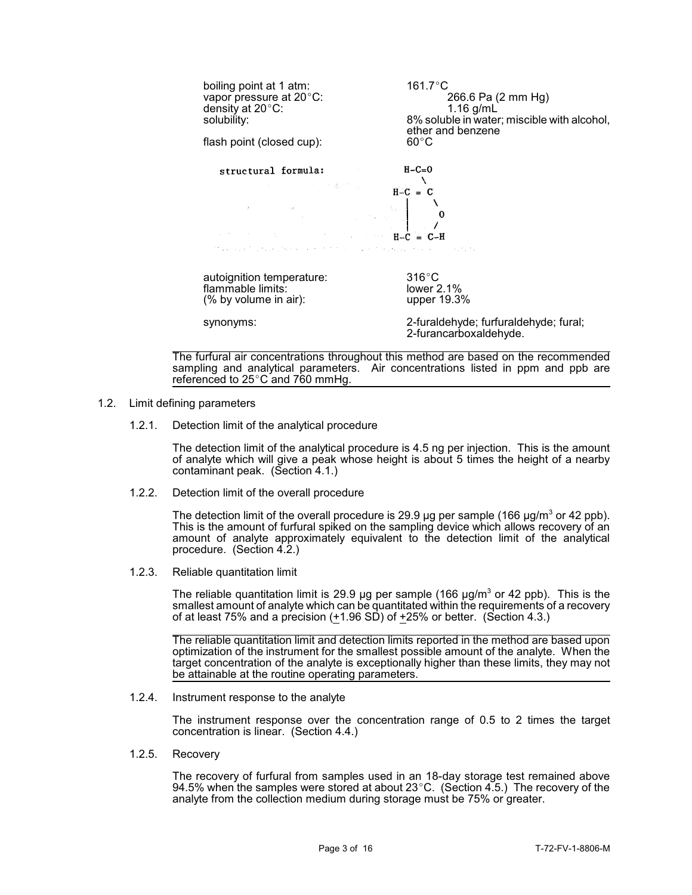| boiling point at 1 atm:<br>vapor pressure at 20°C:<br>density at 20°C:<br>solubility:<br>flash point (closed cup):                                                                                                                                                                                                                                                                                                                                                                                                                                 | 161.7°C<br>266.6 Pa (2 mm Hg)<br>$1.16$ g/mL<br>8% soluble in water; miscible with alcohol,<br>ether and benzene<br>$60^{\circ}$ C |
|----------------------------------------------------------------------------------------------------------------------------------------------------------------------------------------------------------------------------------------------------------------------------------------------------------------------------------------------------------------------------------------------------------------------------------------------------------------------------------------------------------------------------------------------------|------------------------------------------------------------------------------------------------------------------------------------|
| structural formula:<br>(人の) はんかい しょうどう 不満になる アール・アー<br>$\label{eq:2.1} \begin{array}{c} \mathcal{L}_{\text{max}}(\mathbf{z},\mathbf{z}) = \mathcal{L}_{\text{max}}(\mathbf{z},\mathbf{z}) = \mathcal{L}_{\text{max}}(\mathbf{z},\mathbf{z}) = \mathcal{L}_{\text{max}}(\mathbf{z},\mathbf{z}) = \mathcal{L}_{\text{max}}(\mathbf{z},\mathbf{z}) = \mathcal{L}_{\text{max}}(\mathbf{z},\mathbf{z}) = \mathcal{L}_{\text{max}}(\mathbf{z},\mathbf{z}) = \mathcal{L}_{\text{max}}(\mathbf{z},\mathbf{z}) = \mathcal{L}_{\text{max}}(\$<br>$H-C = C-H$ | $H - C = 0$<br>$H-C = C$                                                                                                           |
| Magazine four and the complete that the complete the present of the complete the                                                                                                                                                                                                                                                                                                                                                                                                                                                                   |                                                                                                                                    |
| autoignition temperature:<br>flammable limits:<br>(% by volume in air):<br>synonyms:                                                                                                                                                                                                                                                                                                                                                                                                                                                               | $316^{\circ}$ C<br>lower $2.1\%$<br>upper 19.3%<br>2-furaldehyde; furfuraldehyde; fural;<br>2-furancarboxaldehyde.                 |

The furfural air concentrations throughout this method are based on the recommended sampling and analytical parameters. Air concentrations listed in ppm and ppb are referenced to  $25^{\circ}$ C and 760 mmHg.

- 1.2. Limit defining parameters
	- 1.2.1. Detection limit of the analytical procedure

 The detection limit of the analytical procedure is 4.5 ng per injection. This is the amount of analyte which will give a peak whose height is about 5 times the height of a nearby contaminant peak. (Section 4.1.)

1.2.2. Detection limit of the overall procedure

The detection limit of the overall procedure is 29.9  $\mu$ g per sample (166  $\mu$ g/m<sup>3</sup> or 42 ppb). This is the amount of furfural spiked on the sampling device which allows recovery of an amount of analyte approximately equivalent to the detection limit of the analytical procedure. (Section 4.2.)

1.2.3. Reliable quantitation limit

The reliable quantitation limit is 29.9 µg per sample (166  $\mu$ g/m<sup>3</sup> or 42 ppb). This is the smallest amount of analyte which can be quantitated within the requirements of a recovery of at least 75% and a precision  $(+1.96$  SD) of  $+25%$  or better. (Section 4.3.)

The reliable quantitation limit and detection limits reported in the method are based upon optimization of the instrument for the smallest possible amount of the analyte. When the target concentration of the analyte is exceptionally higher than these limits, they may not be attainable at the routine operating parameters.

## 1.2.4. Instrument response to the analyte

 The instrument response over the concentration range of 0.5 to 2 times the target concentration is linear. (Section 4.4.)

1.2.5. Recovery

 The recovery of furfural from samples used in an 18-day storage test remained above 94.5% when the samples were stored at about 23 $^{\circ}$ C. (Section 4.5.) The recovery of the analyte from the collection medium during storage must be 75% or greater.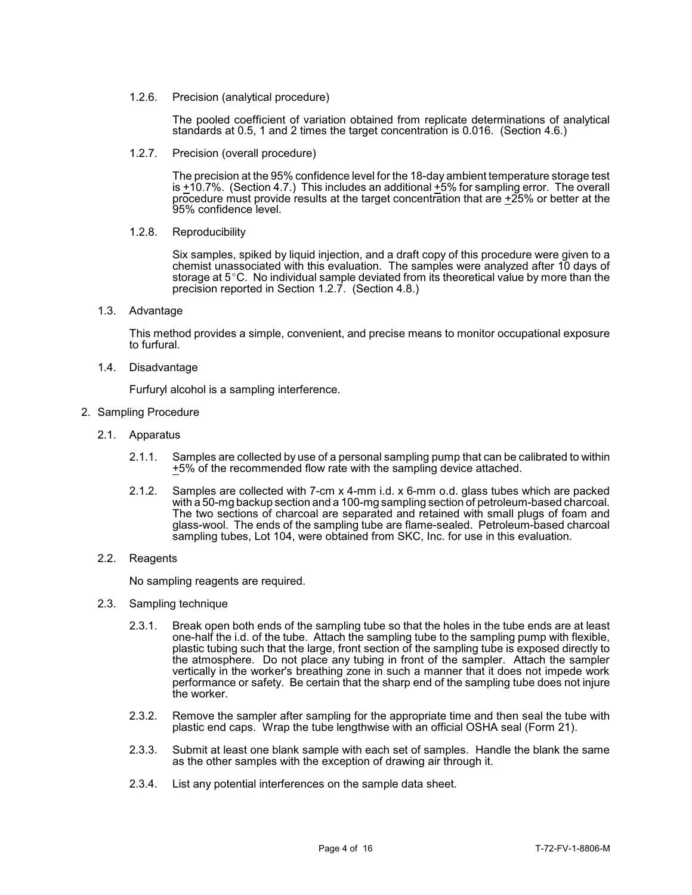1.2.6. Precision (analytical procedure)

 The pooled coefficient of variation obtained from replicate determinations of analytical standards at 0.5, 1 and 2 times the target concentration is 0.016. (Section 4.6.)

1.2.7. Precision (overall procedure)

is +10.7%. (Section 4.7.) This includes an additional +5% for sampling error. The overall The precision at the 95% confidence level for the 18-day ambient temperature storage test procedure must provide results at the target concentration that are +25% or better at the 95% confidence level.

1.2.8. Reproducibility

 Six samples, spiked by liquid injection, and a draft copy of this procedure were given to a storage at 5°C. No individual sample deviated from its theoretical value by more than the chemist unassociated with this evaluation. The samples were analyzed after 10 days of precision reported in Section 1.2.7. (Section 4.8.)

1.3. Advantage

This method provides a simple, convenient, and precise means to monitor occupational exposure to furfural.

1.4. Disadvantage

Furfuryl alcohol is a sampling interference.

- 2. Sampling Procedure
	- 2.1. Apparatus
		- 2.1.1. Samples are collected by use of a personal sampling pump that can be calibrated to within +5% of the recommended flow rate with the sampling device attached.
		- 2.1.2. Samples are collected with 7-cm x 4-mm i.d. x 6-mm o.d. glass tubes which are packed The two sections of charcoal are separated and retained with small plugs of foam and glass-wool. The ends of the sampling tube are flame-sealed. Petroleum-based charcoal with a 50-mg backup section and a 100-mg sampling section of petroleum-based charcoal. sampling tubes, Lot 104, were obtained from SKC, Inc. for use in this evaluation.
	- 2.2. Reagents

No sampling reagents are required.

- 2.3. Sampling technique
	- 2.3.1. Break open both ends of the sampling tube so that the holes in the tube ends are at least one-half the i.d. of the tube. Attach the sampling tube to the sampling pump with flexible, the atmosphere. Do not place any tubing in front of the sampler. Attach the sampler vertically in the worker's breathing zone in such a manner that it does not impede work plastic tubing such that the large, front section of the sampling tube is exposed directly to performance or safety. Be certain that the sharp end of the sampling tube does not injure the worker.
	- 2.3.2. Remove the sampler after sampling for the appropriate time and then seal the tube with plastic end caps. Wrap the tube lengthwise with an official OSHA seal (Form 21).
	- 2.3.3. Submit at least one blank sample with each set of samples. Handle the blank the same as the other samples with the exception of drawing air through it.
	- 2.3.4. List any potential interferences on the sample data sheet.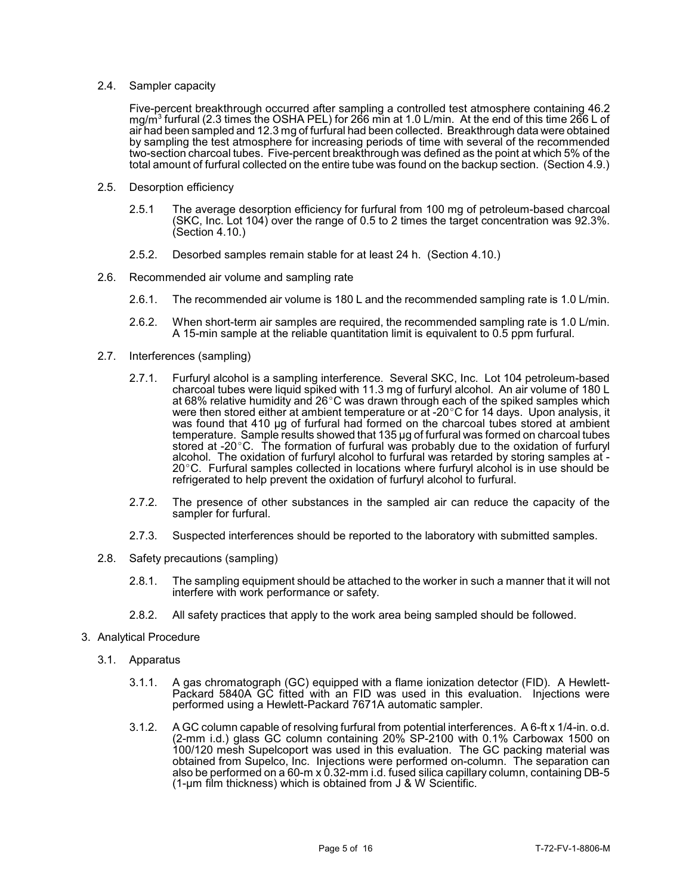## 2.4. Sampler capacity

mg/m $^3$  furfural (2.3 times the OSHA PEL) for 266 min at 1.0 L/min.  $\,$  At the end of this time 266 L of air had been sampled and 12.3 mg of furfural had been collected. Breakthrough data were obtained two-section charcoal tubes. Five-percent breakthrough was defined as the point at which 5% of the total amount of furfural collected on the entire tube was found on the backup section. (Section 4.9.) Five-percent breakthrough occurred after sampling a controlled test atmosphere containing 46.2 by sampling the test atmosphere for increasing periods of time with several of the recommended

- 2.5. Desorption efficiency
	- 2.5.1 The average desorption efficiency for furfural from 100 mg of petroleum-based charcoal (SKC, Inc. Lot 104) over the range of 0.5 to 2 times the target concentration was 92.3%. (Section 4.10.)
	- 2.5.2. Desorbed samples remain stable for at least 24 h. (Section 4.10.)
- 2.6. Recommended air volume and sampling rate
	- 2.6.1. The recommended air volume is 180 L and the recommended sampling rate is 1.0 L/min.
	- 2.6.2. When short-term air samples are required, the recommended sampling rate is 1.0 L/min. A 15-min sample at the reliable quantitation limit is equivalent to 0.5 ppm furfural.
- 2.7. Interferences (sampling)
	- 2.7.1. Furfuryl alcohol is a sampling interference. Several SKC, Inc. Lot 104 petroleum-based charcoal tubes were liquid spiked with 11.3 mg of furfuryl alcohol. An air volume of 180 L was found that 410 µg of furfural had formed on the charcoal tubes stored at ambient alcohol. The oxidation of furfuryl alcohol to furfural was retarded by storing samples at -<br>20°C. Furfural samples collected in locations where furfuryl alcohol is in use should be at 68% relative humidity and 26 $^{\circ}$ C was drawn through each of the spiked samples which were then stored either at ambient temperature or at -20°C for 14 days. Upon analysis, it temperature. Sample results showed that 135 µg of furfural was formed on charcoal tubes stored at -20 $\degree$ C. The formation of furfural was probably due to the oxidation of furfuryl refrigerated to help prevent the oxidation of furfuryl alcohol to furfural.
	- 2.7.2. The presence of other substances in the sampled air can reduce the capacity of the sampler for furfural.
	- 2.7.3. Suspected interferences should be reported to the laboratory with submitted samples.
- 2.8. Safety precautions (sampling)
	- 2.8.1. The sampling equipment should be attached to the worker in such a manner that it will not interfere with work performance or safety.
	- 2.8.2. All safety practices that apply to the work area being sampled should be followed.
- 3. Analytical Procedure
	- 3.1. Apparatus
		- Packard 5840A GC fitted with an FID was used in this evaluation. Injections were 3.1.1. A gas chromatograph (GC) equipped with a flame ionization detector (FID). A Hewlettperformed using a Hewlett-Packard 7671A automatic sampler.
		- 3.1.2. A GC column capable of resolving furfural from potential interferences. A 6-ft x 1/4-in. o.d. obtained from Supelco, Inc. Injections were performed on-column. The separation can also be performed on a 60-m x 0.32-mm i.d. fused silica capillary column, containing DB-5 (2-mm i.d.) glass GC column containing 20% SP-2100 with 0.1% Carbowax 1500 on 100/120 mesh Supelcoport was used in this evaluation. The GC packing material was (1-µm film thickness) which is obtained from J & W Scientific.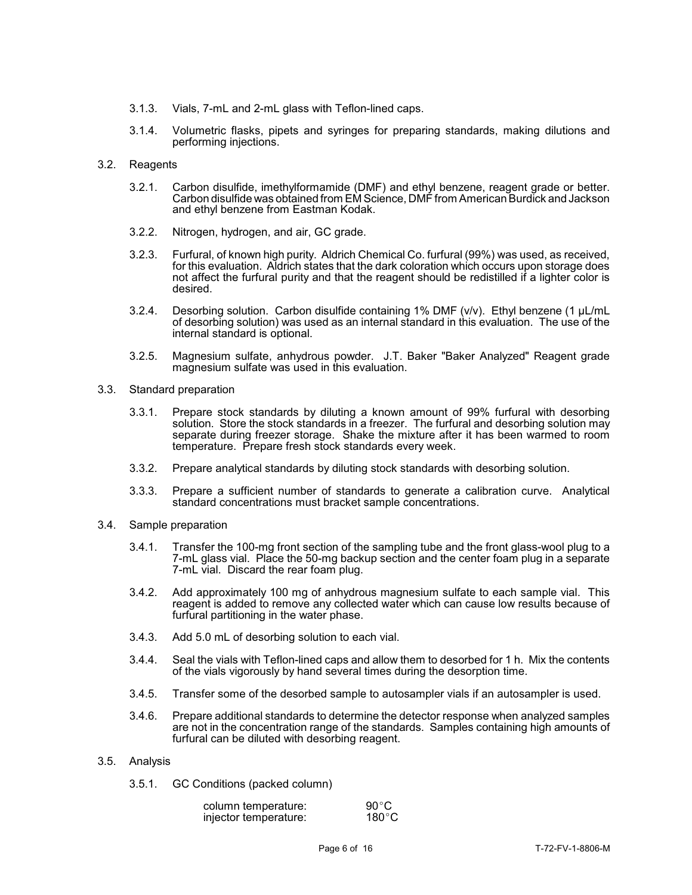- 3.1.3. Vials, 7-mL and 2-mL glass with Teflon-lined caps.
- 3.1.4. Volumetric flasks, pipets and syringes for preparing standards, making dilutions and performing injections.
- 3.2. Reagents
	- 3.2.1. Carbon disulfide, imethylformamide (DMF) and ethyl benzene, reagent grade or better. Carbon disulfide was obtained from EM Science, DMF from American Burdick and Jackson and ethyl benzene from Eastman Kodak.
	- 3.2.2. Nitrogen, hydrogen, and air, GC grade.
	- 3.2.3. Furfural, of known high purity. Aldrich Chemical Co. furfural (99%) was used, as received, for this evaluation. Aldrich states that the dark coloration which occurs upon storage does not affect the furfural purity and that the reagent should be redistilled if a lighter color is desired.
	- of desorbing solution) was used as an internal standard in this evaluation. The use of the 3.2.4. Desorbing solution. Carbon disulfide containing 1% DMF (v/v). Ethyl benzene (1 µL/mL internal standard is optional.
	- 3.2.5. Magnesium sulfate, anhydrous powder. J.T. Baker "Baker Analyzed" Reagent grade magnesium sulfate was used in this evaluation.
- 3.3. Standard preparation
	- 3.3.1. Prepare stock standards by diluting a known amount of 99% furfural with desorbing separate during freezer storage. Shake the mixture after it has been warmed to room solution. Store the stock standards in a freezer. The furfural and desorbing solution may temperature. Prepare fresh stock standards every week.
	- 3.3.2. Prepare analytical standards by diluting stock standards with desorbing solution.
	- 3.3.3. Prepare a sufficient number of standards to generate a calibration curve. Analytical standard concentrations must bracket sample concentrations.
- 3.4. Sample preparation
	- 7-mL glass vial. Place the 50-mg backup section and the center foam plug in a separate 3.4.1. Transfer the 100-mg front section of the sampling tube and the front glass-wool plug to a 7-mL vial. Discard the rear foam plug.
	- 3.4.2. Add approximately 100 mg of anhydrous magnesium sulfate to each sample vial. This reagent is added to remove any collected water which can cause low results because of furfural partitioning in the water phase.
	- 3.4.3. Add 5.0 mL of desorbing solution to each vial.
	- 3.4.4. Seal the vials with Teflon-lined caps and allow them to desorbed for 1 h. Mix the contents of the vials vigorously by hand several times during the desorption time.
	- 3.4.5. Transfer some of the desorbed sample to autosampler vials if an autosampler is used.
	- 3.4.6. Prepare additional standards to determine the detector response when analyzed samples are not in the concentration range of the standards. Samples containing high amounts of furfural can be diluted with desorbing reagent.
- 3.5. Analysis
	- 3.5.1. GC Conditions (packed column)

| column temperature:   | $90^{\circ}$ C  |
|-----------------------|-----------------|
| injector temperature: | $180^{\circ}$ C |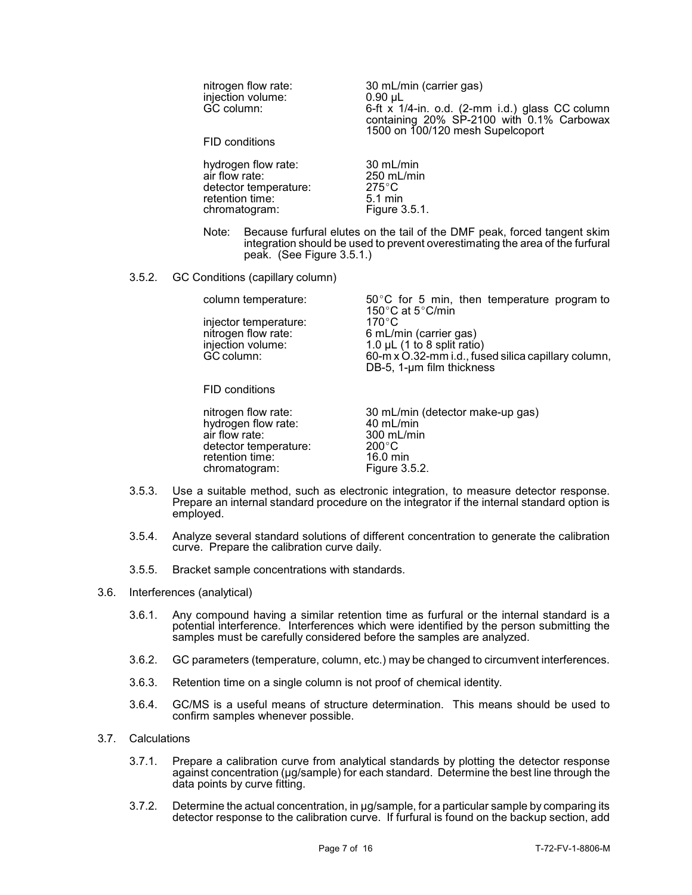| nitrogen flow rate:<br>injection volume:<br>GC column:<br>FID conditions | 30 mL/min (carrier gas)<br>$0.90 \mu L$<br>6-ft x 1/4-in. o.d. (2-mm i.d.) glass CC column<br>containing 20% SP-2100 with 0.1% Carbowax<br>1500 on 100/120 mesh Supelcoport |
|--------------------------------------------------------------------------|-----------------------------------------------------------------------------------------------------------------------------------------------------------------------------|
| hydrogen flow rate:                                                      | 30 mL/min                                                                                                                                                                   |
| air flow rate:                                                           | $250$ mL/min                                                                                                                                                                |
| detector temperature:                                                    | $275^{\circ}$ C                                                                                                                                                             |
| retention time:                                                          | $5.1 \text{ min}$                                                                                                                                                           |
| chromatogram:                                                            | Figure 3.5.1.                                                                                                                                                               |

- Note: Because furfural elutes on the tail of the DMF peak, forced tangent skim integration should be used to prevent overestimating the area of the furfural peak. (See Figure 3.5.1.)
- 3.5.2. GC Conditions (capillary column)

| column temperature:   | $50^{\circ}$ C for 5 min, then temperature program to |
|-----------------------|-------------------------------------------------------|
|                       | 150 $\degree$ C at 5 $\degree$ C/min                  |
| injector temperature: | 170 $^{\circ}$ C                                      |
| nitrogen flow rate:   | 6 mL/min (carrier gas)                                |
| injection volume:     | 1.0 $\mu$ L (1 to 8 split ratio)                      |
| GC column:            | 60-m x O.32-mm i.d., fused silica capillary column,   |
|                       | DB-5, 1-um film thickness                             |
|                       |                                                       |

FID conditions

hydrogen flow rate: 40 mL/min<br>air flow rate: 300 mL/min air flow rate: 300 ml<br>detector temperature: 300°C detector temperature: 200 °C<br>retention time: 16.0 min retention time: 16.0 min<br>
chromatogram: Figure 3.5.2. chromatogram:

nitrogen flow rate: 30 mL/min (detector make-up gas)<br>hydrogen flow rate: 40 mL/min

- 3.5.3. Use a suitable method, such as electronic integration, to measure detector response. Prepare an internal standard procedure on the integrator if the internal standard option is employed.
- 3.5.4. Analyze several standard solutions of different concentration to generate the calibration curve. Prepare the calibration curve daily.
- 3.5.5. Bracket sample concentrations with standards.
- 3.6. Interferences (analytical)
	- 3.6.1. Any compound having a similar retention time as furfural or the internal standard is a potential interference. Interferences which were identified by the person submitting the samples must be carefully considered before the samples are analyzed.
	- 3.6.2. GC parameters (temperature, column, etc.) may be changed to circumvent interferences.
	- 3.6.3. Retention time on a single column is not proof of chemical identity.
	- 3.6.4. GC/MS is a useful means of structure determination. This means should be used to confirm samples whenever possible.
- 3.7. Calculations
	- 3.7.1. Prepare a calibration curve from analytical standards by plotting the detector response against concentration (µg/sample) for each standard. Determine the best line through the data points by curve fitting.
	- detector response to the calibration curve. If furfural is found on the backup section, add 3.7.2. Determine the actual concentration, in µg/sample, for a particular sample by comparing its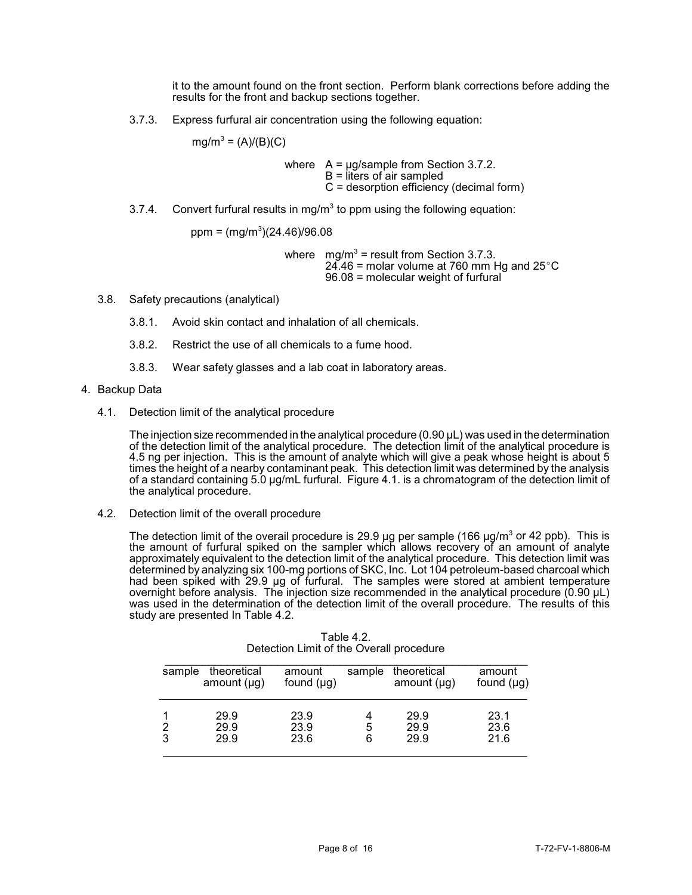it to the amount found on the front section. Perform blank corrections before adding the results for the front and backup sections together.

3.7.3. Express furfural air concentration using the following equation:

 $mg/m^3 = (A)/(B)(C)$ 

where  $A = \mu g/s$  ample from Section 3.7.2.  $B =$  liters of air sampled C = desorption efficiency (decimal form)

3.7.4. Convert furfural results in mg/m<sup>3</sup> to ppm using the following equation:

 $ppm = (mg/m<sup>3</sup>)(24.46)/96.08$  $ppm = (mg/m<sup>3</sup>)(24.46)/96.08$ 

where  $mg/m^3$  = result from Section 3.7.3.  $24.46$  = molar volume at 760 mm Hg and 25 $^{\circ}$ C 96.08 = molecular weight of furfural

- 3.8. Safety precautions (analytical)
	- 3.8.1. Avoid skin contact and inhalation of all chemicals.
	- 3.8.2. Restrict the use of all chemicals to a fume hood.
	- 3.8.3. Wear safety glasses and a lab coat in laboratory areas.
- 4. Backup Data
	- 4.1. Detection limit of the analytical procedure

 times the height of a nearby contaminant peak. This detection limit was determined by the analysis of a standard containing 5.0 µg/mL furfural. Figure 4.1. is a chromatogram of the detection limit of The injection size recommended in the analytical procedure (0.90 µL) was used in the determination of the detection limit of the analytical procedure. The detection limit of the analytical procedure is 4.5 ng per injection. This is the amount of analyte which will give a peak whose height is about 5 the analytical procedure.

4.2. Detection limit of the overall procedure

 approximately equivalent to the detection limit of the analytical procedure. This detection limit was determined by analyzing six 100-mg portions of SKC, Inc. Lot 104 petroleum-based charcoal which was used in the determination of the detection limit of the overall procedure. The results of this The detection limit of the overail procedure is 29.9 µg per sample (166 µg/m<sup>3</sup> or 42 ppb). This is the amount of furfural spiked on the sampler which allows recovery of an amount of analyte had been spiked with 29.9 µg of furfural. The samples were stored at ambient temperature overnight before analysis. The injection size recommended in the analytical procedure (0.90  $\mu$ L) study are presented In Table 4.2.

| sample | theoretical<br>amount $(\mu g)$ | amount<br>found $(\mu g)$ | sample | theoretical<br>amount $(\mu g)$ | amount<br>found $(\mu g)$ |
|--------|---------------------------------|---------------------------|--------|---------------------------------|---------------------------|
|        | 29.9                            | 23.9                      |        | 29.9                            | 23.1                      |
| 3      | 29.9<br>29.9                    | 23.9<br>23.6              | 5<br>6 | 29.9<br>29.9                    | 23.6<br>21.6              |

| Table 4.2.                               |  |
|------------------------------------------|--|
| Detection Limit of the Overall procedure |  |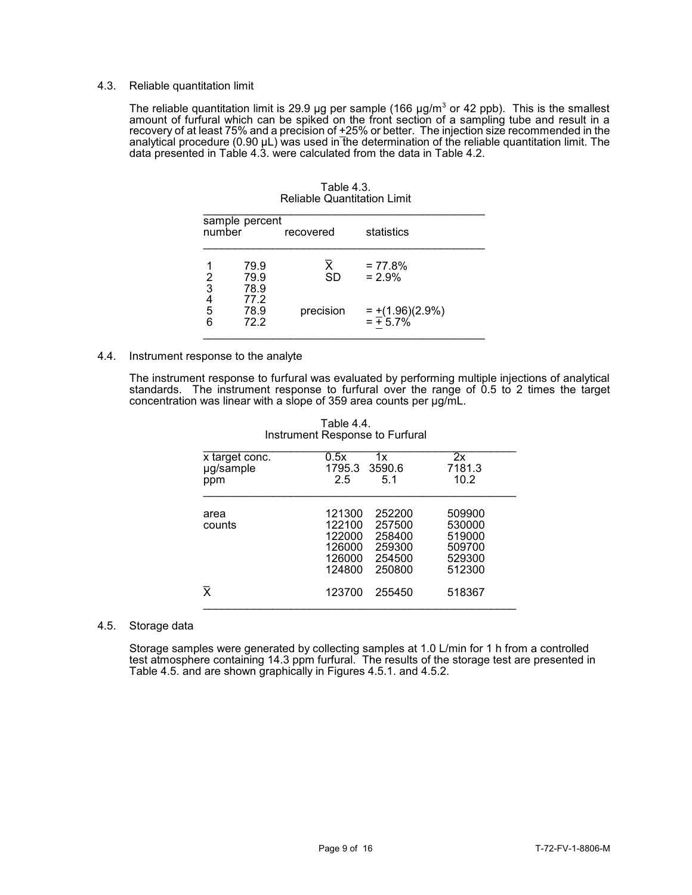### 4.3. Reliable quantitation limit

Ì, The reliable quantitation limit is 29.9 µg per sample (166 µg/m<sup>3</sup> or 42 ppb). This is the smallest amount of furfural which can be spiked on the front section of a sampling tube and result in a recovery of at least 75% and a precision of <u>+</u>25% or better. The injection size recommended in the analytical procedure (0.90 µL) was used in the determination of the reliable quantitation limit. The data presented in Table 4.3. were calculated from the data in Table 4.2.

| sample percent<br>number<br>recovered |                      |                                      | statistics                               |  |
|---------------------------------------|----------------------|--------------------------------------|------------------------------------------|--|
|                                       | 79.9<br>79.9<br>78.9 | $\overline{\mathsf{x}}$<br><b>SD</b> | $= 77.8%$<br>$= 2.9%$                    |  |
| 2<br>3<br>4<br>5<br>6<br>5<br>6       | 77.2<br>78.9<br>72.2 | precision                            | $=\frac{+(1.96)(2.9\%)}{+(1.96)(2.9\%)}$ |  |

Table 4.3. Reliable Quantitation Limit

## 4.4. Instrument response to the analyte

 The instrument response to furfural was evaluated by performing multiple injections of analytical standards. The instrument response to furfural over the range of 0.5 to 2 times the target concentration was linear with a slope of 359 area counts per µg/mL.

| x target conc.<br>µg/sample<br>ppm | 0.5x<br>1x<br>3590.6<br>1795.3<br>2.5<br>5.1                                                                         | 2x<br>7181.3<br>10.2                                     |
|------------------------------------|----------------------------------------------------------------------------------------------------------------------|----------------------------------------------------------|
| area<br>counts                     | 121300<br>252200<br>122100<br>257500<br>122000<br>258400<br>126000<br>259300<br>126000<br>254500<br>124800<br>250800 | 509900<br>530000<br>519000<br>509700<br>529300<br>512300 |
| X                                  | 123700<br>255450                                                                                                     | 518367                                                   |

| Table 4.4.                      |
|---------------------------------|
| Instrument Response to Furfural |

### 4.5. Storage data

Storage samples were generated by collecting samples at 1.0 L/min for 1 h from a controlled test atmosphere containing 14.3 ppm furfural. The results of the storage test are presented in Table 4.5. and are shown graphically in Figures 4.5.1. and 4.5.2.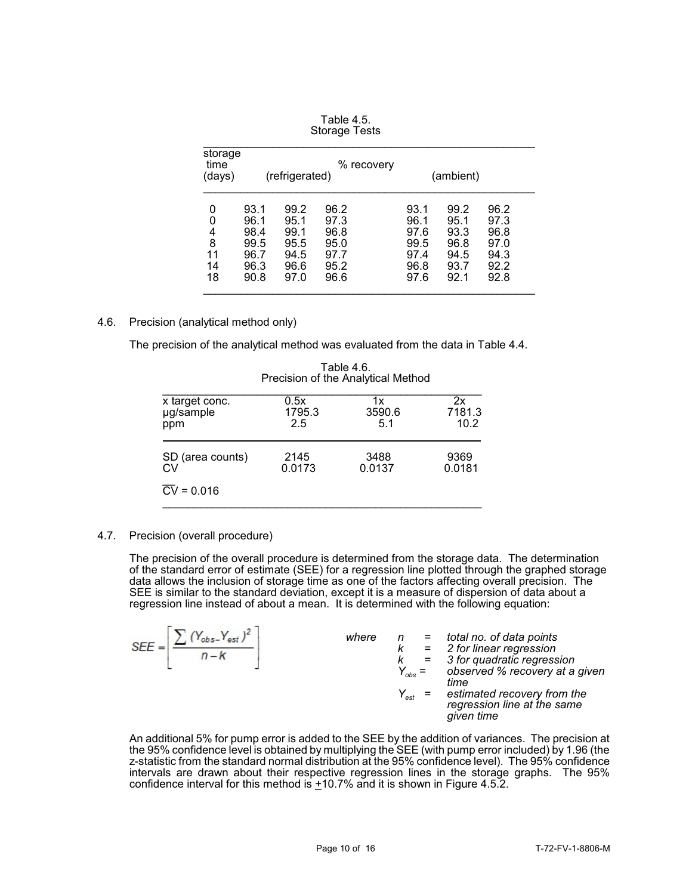| storage<br>time<br>(days) |      | (refrigerated) | % recovery |      | (ambient) |      |
|---------------------------|------|----------------|------------|------|-----------|------|
| 0                         | 93.1 | 99.2           | 96.2       | 93.1 | 99.2      | 96.2 |
| 0                         | 96.1 | 95.1           | 97.3       | 96.1 | 95.1      | 97.3 |
| 4                         | 98.4 | 99.1           | 96.8       | 97.6 | 93.3      | 96.8 |
| 8                         | 99.5 | 95.5           | 95.0       | 99.5 | 96.8      | 97.0 |
| 11                        | 96.7 | 94.5           | 97.7       | 97.4 | 94.5      | 94.3 |
| 14                        | 96.3 | 96.6           | 95.2       | 96.8 | 93.7      | 92.2 |
| 18                        | 90.8 | 97.0           | 96.6       | 97.6 | 92.1      | 92.8 |

| Table 4.5.    |  |
|---------------|--|
| Storage Tests |  |

## 4.6. Precision (analytical method only)

The precision of the analytical method was evaluated from the data in Table 4.4.

| x target conc.          | 0.5x   | 1x     | 2x     |
|-------------------------|--------|--------|--------|
| µg/sample               | 1795.3 | 3590.6 | 7181.3 |
| ppm                     | 2.5    | 5.1    | 10.2   |
| SD (area counts)        | 2145   | 3488   | 9369   |
| СV                      | 0.0173 | 0.0137 | 0.0181 |
| $\overline{CV} = 0.016$ |        |        |        |

Table 4.6. Precision of the Analytical Method

## 4.7. Precision (overall procedure)

The precision of the overall procedure is determined from the storage data. The determination of the standard error of estimate (SEE) for a regression line plotted through the graphed storage data allows the inclusion of storage time as one of the factors affecting overall precision. The SEE is similar to the standard deviation, except it is a measure of dispersion of data about a regression line instead of about a mean. It is determined with the following equation:

| $(Y_{obs} - Y_{est})^2$<br>$SFF -$ | where | k<br>$Y_{\text{obs}} =$<br>$Y_{\rm est}$ | $n =$ total no. of data points<br>= 2 for linear regression<br>= 3 for quadratic regression<br>observed % recovery at a given<br>time<br>estimated recovery from the<br>regression line at the same |
|------------------------------------|-------|------------------------------------------|-----------------------------------------------------------------------------------------------------------------------------------------------------------------------------------------------------|
|                                    |       |                                          | given time                                                                                                                                                                                          |

 An additional 5% for pump error is added to the SEE by the addition of variances. The precision at the 95% confidence level is obtained by multiplying the SEE (with pump error included) by 1.96 (the z-statistic from the standard normal distribution at the 95% confidence level). The 95% confidence intervals are drawn about their respective regression lines in the storage graphs. The 95% confidence interval for this method is  $+10.7\%$  and it is shown in Figure 4.5.2.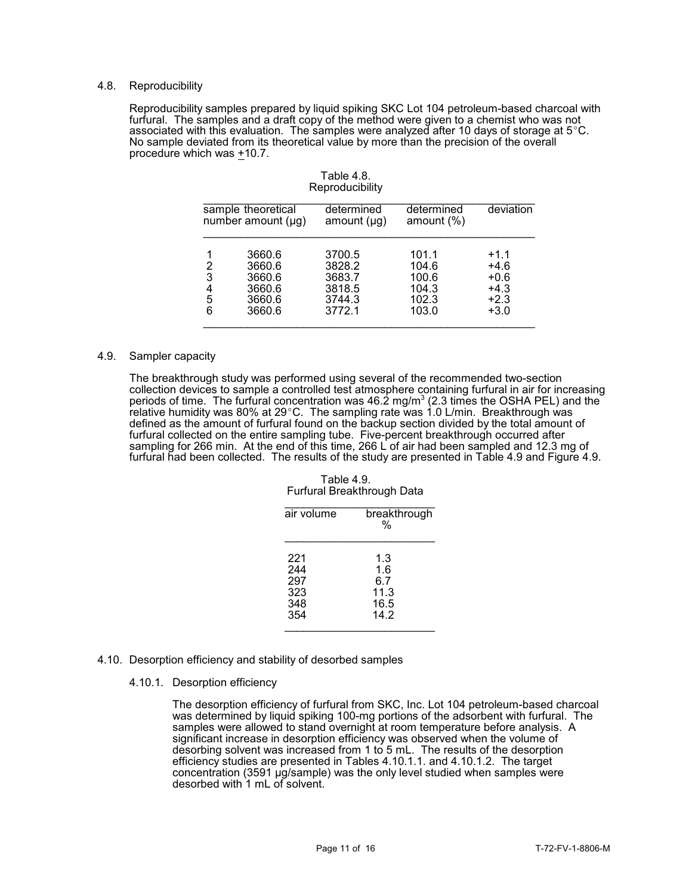### 4.8. Reproducibility

Reproducibility samples prepared by liquid spiking SKC Lot 104 petroleum-based charcoal with furfural. The samples and a draft copy of the method were given to a chemist who was not associated with this evaluation. The samples were analyzed after 10 days of storage at 5°C. No sample deviated from its theoretical value by more than the precision of the overall procedure which was +10.7.

|                       | sample theoretical<br>number amount $(\mu g)$            | determined<br>amount $(\mu g)$                           | determined<br>amount $(\%)$                        | deviation                                                |
|-----------------------|----------------------------------------------------------|----------------------------------------------------------|----------------------------------------------------|----------------------------------------------------------|
| 2<br>3<br>4<br>5<br>6 | 3660.6<br>3660.6<br>3660.6<br>3660.6<br>3660.6<br>3660.6 | 3700.5<br>3828.2<br>3683.7<br>3818.5<br>3744.3<br>3772.1 | 101.1<br>104.6<br>100.6<br>104.3<br>102.3<br>103.0 | $+1.1$<br>$+4.6$<br>$+0.6$<br>$+4.3$<br>$+2.3$<br>$+3.0$ |

## Table 4.8. **Reproducibility**

#### 4.9. Sampler capacity

The breakthrough study was performed using several of the recommended two-section collection devices to sample a controlled test atmosphere containing furfural in air for increasing periods of time. The furfural concentration was 46.2 mg/m $^3$  (2.3 times the OSHA PEL) and the  $\overline{\phantom{a}}$ relative humidity was 80% at 29°C. The sampling rate was 1.0 L/min. Breakthrough was defined as the amount of furfural found on the backup section divided by the total amount of furfural collected on the entire sampling tube. Five-percent breakthrough occurred after sampling for 266 min. At the end of this time, 266 L of air had been sampled and 12.3 mg of furfural had been collected. The results of the study are presented in Table 4.9 and Figure 4.9.

Table 4.9. Furfural Breakthrough Data

| air volume | breakthrough<br>% |
|------------|-------------------|
| 221        | 1.3               |
| 244        | 1.6               |
| 297        | 6.7               |
| 323        | 11.3              |
| 348        | 16.5              |
| 354        | 14.2              |

- 4.10. Desorption efficiency and stability of desorbed samples
	- 4.10.1. Desorption efficiency

The desorption efficiency of furfural from SKC, Inc. Lot 104 petroleum-based charcoal was determined by liquid spiking 100-mg portions of the adsorbent with furfural. The samples were allowed to stand overnight at room temperature before analysis. A significant increase in desorption efficiency was observed when the volume of desorbing solvent was increased from 1 to 5 mL. The results of the desorption efficiency studies are presented in Tables 4.10.1.1. and 4.10.1.2. The target concentration (3591 µg/sample) was the only level studied when samples were desorbed with 1 mL of solvent.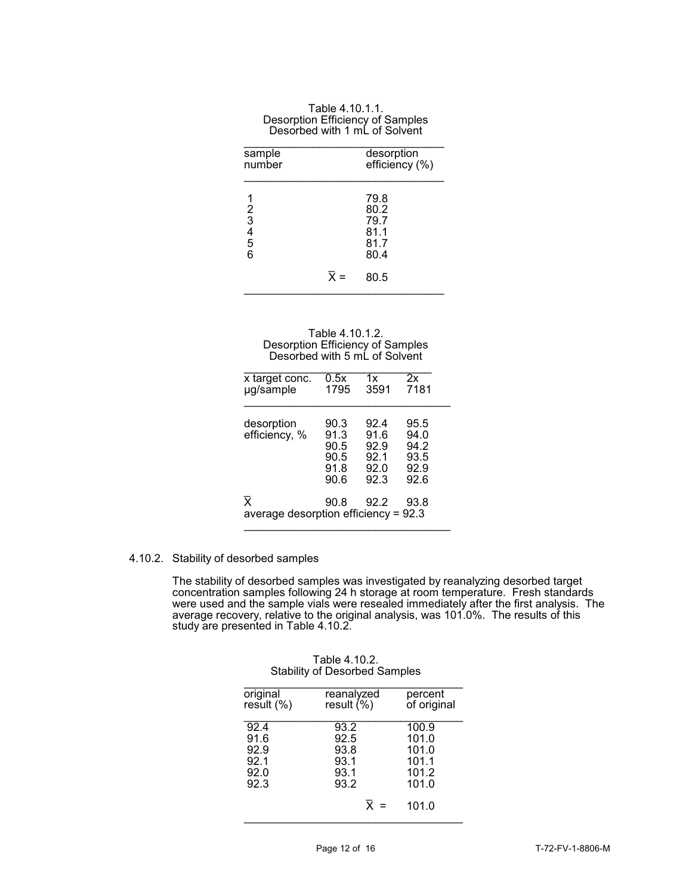| sample<br>number                                       |                  | desorption<br>efficiency (%)                 |
|--------------------------------------------------------|------------------|----------------------------------------------|
| $\begin{array}{c}\n2 \\ 3 \\ 4 \\ 5\n\end{array}$<br>6 |                  | 79.8<br>80.2<br>79.7<br>81.1<br>81.7<br>80.4 |
|                                                        | $\overline{x}$ = | 80.5                                         |

| Table 4.10.1.1.                  |
|----------------------------------|
| Desorption Efficiency of Samples |
| Desorbed with 1 mL of Solvent    |

| Table 4.10.1.2.                  |
|----------------------------------|
| Desorption Efficiency of Samples |
| Desorbed with 5 mL of Solvent    |

| x target conc.<br>µg/sample                                       | 0.5x<br>1795                                 | 1x<br>3591                                   | 2x<br>7181                                   |
|-------------------------------------------------------------------|----------------------------------------------|----------------------------------------------|----------------------------------------------|
| desorption<br>efficiency, %                                       | 90.3<br>91.3<br>90.5<br>90.5<br>91.8<br>90.6 | 92.4<br>91.6<br>92.9<br>92.1<br>92.0<br>92.3 | 95.5<br>94.0<br>94.2<br>93.5<br>92.9<br>92.6 |
| $\overline{\mathbf{x}}$<br>average desorption efficiency = $92.3$ | 90.8                                         | 92.2                                         | 93.8                                         |

# 4.10.2. Stability of desorbed samples

The stability of desorbed samples was investigated by reanalyzing desorbed target concentration samples following 24 h storage at room temperature. Fresh standards were used and the sample vials were resealed immediately after the first analysis. The average recovery, relative to the original analysis, was 101.0%. The results of this study are presented in Table 4.10.2.

|                                              | olability of Bosorboa Samples                                    |                                                             |
|----------------------------------------------|------------------------------------------------------------------|-------------------------------------------------------------|
| original<br>result (%)                       | reanalyzed<br>result $(\%)$                                      | percent<br>of original                                      |
| 92.4<br>91.6<br>92.9<br>92.1<br>92.0<br>92.3 | 93.2<br>92.5<br>93.8<br>93.1<br>93.1<br>93.2<br>$\overline{X}$ = | 100.9<br>101.0<br>101.0<br>101.1<br>101.2<br>101.0<br>101.0 |

| Table 4.10.2.                        |
|--------------------------------------|
| <b>Stability of Desorbed Samples</b> |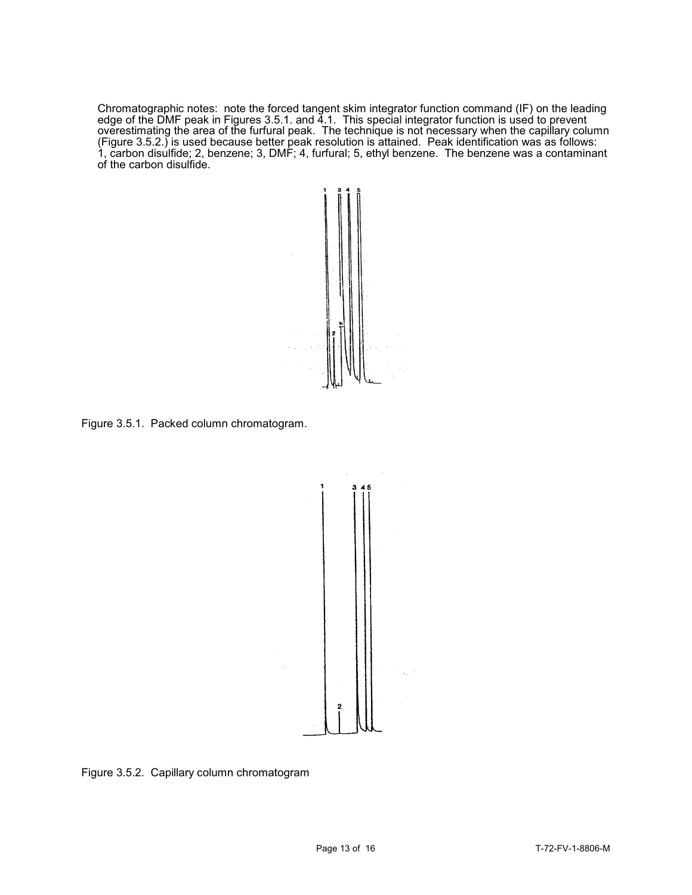Chromatographic notes: note the forced tangent skim integrator function command (IF) on the leading edge of the DMF peak in Figures 3.5.1. and 4.1. This special integrator function is used to prevent overestimating the area of the furfural peak. The technique is not necessary when the capillary column (Figure 3.5.2.) is used because better peak resolution is attained. Peak identification was as follows: 1, carbon disulfide; 2, benzene; 3, DMF; 4, furfural; 5, ethyl benzene. The benzene was a contaminant of the carbon disulfide.



Figure 3.5.1. Packed column chromatogram.



Figure 3.5.2. Capillary column chromatogram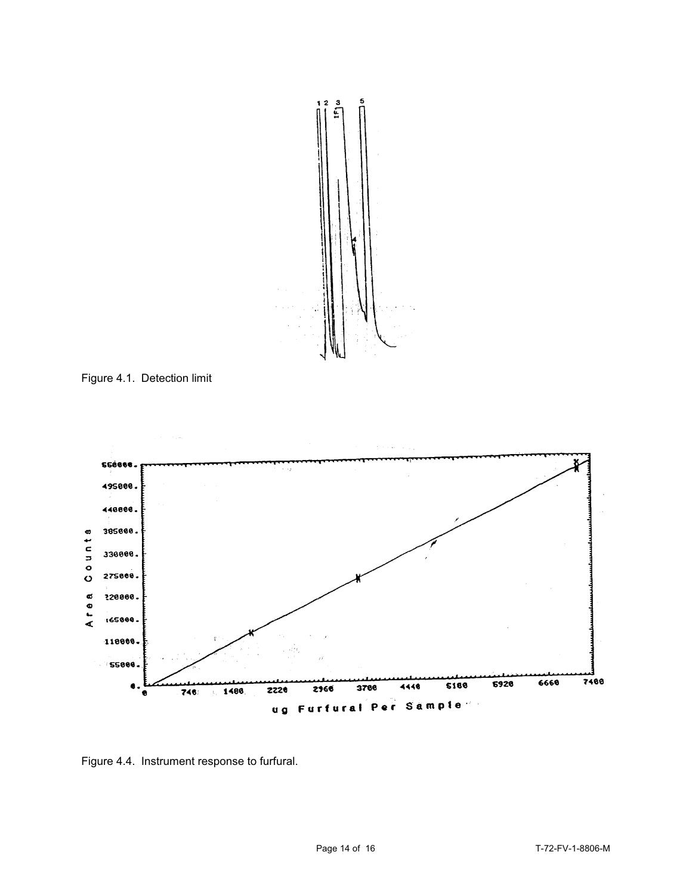

Figure 4.1. Detection limit



Figure 4.4. Instrument response to furfural.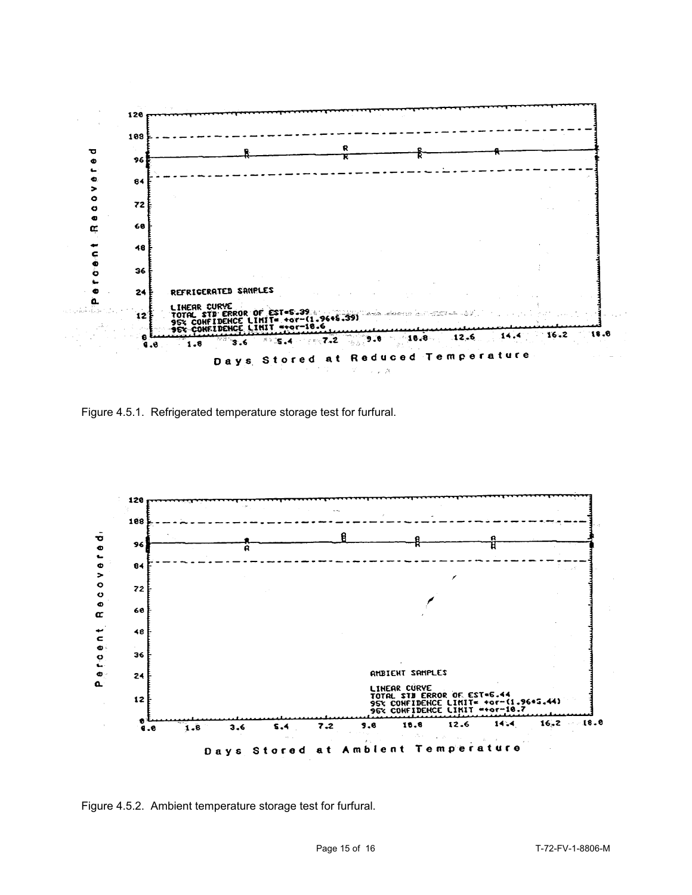

Figure 4.5.1. Refrigerated temperature storage test for furfural.



Figure 4.5.2. Ambient temperature storage test for furfural.